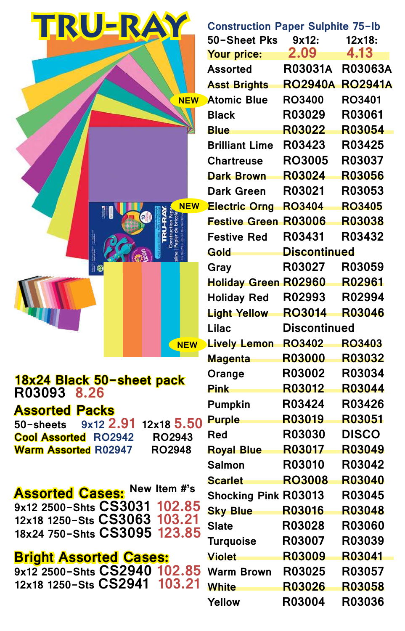| TRU-RAY                                      |                             | <b>Construction Paper Sulphite 75-lb</b> |                |
|----------------------------------------------|-----------------------------|------------------------------------------|----------------|
|                                              | 50-Sheet Pks                | 9x12:                                    | $12x18$ :      |
|                                              | Your price:                 | 2.09                                     | 4.13           |
|                                              | <b>Assorted</b>             | <b>R03031A</b>                           | <b>R03063A</b> |
|                                              | <b>Asst Brights</b>         | <b>RO2940A RO2941A</b>                   |                |
| <b>NEW</b>                                   | <b>Atomic Blue</b>          | <b>RO3400</b>                            | <b>RO3401</b>  |
|                                              | <b>Black</b>                | <b>R03029</b>                            | R03061         |
|                                              | <b>Blue</b>                 | R03022                                   | R03054         |
|                                              | <b>Brilliant Lime</b>       | <b>R03423</b>                            | R03425         |
|                                              | <b>Chartreuse</b>           | <b>RO3005</b>                            | R03037         |
|                                              | <b>Dark Brown</b>           | R03024                                   | R03056         |
|                                              | <b>Dark Green</b>           | R03021                                   | R03053         |
| <b>NEW</b>                                   | <b>Electric Orng</b>        | <b>RO3404</b>                            | <b>RO3405</b>  |
|                                              | <b>Festive Green</b>        | R03006                                   | R03038         |
|                                              | <b>Festive Red</b>          | R03431                                   | R03432         |
|                                              | Gold                        | <b>Discontinued</b>                      |                |
|                                              | Gray                        | <b>R03027</b>                            | R03059         |
|                                              | <b>Holiday Green R02960</b> |                                          | R02961         |
|                                              | <b>Holiday Red</b>          | R02993                                   | R02994         |
| <b>TENTIFICATION</b>                         | <b>Light Yellow</b>         | <b>RO3014</b>                            | R03046         |
|                                              | <b>Lilac</b>                | <b>Discontinued</b>                      |                |
| NEW                                          | <b>Lively Lemon</b>         | <b>RO3402</b>                            | <b>RO3403</b>  |
|                                              | <b>Magenta</b>              | <b>R03000</b>                            | R03032         |
| 18x24 Black 50-sheet pack                    | Orange                      | R03002                                   | R03034         |
| R03093 8.26                                  | <b>Pink</b>                 | R03012                                   | R03044         |
| <b>Assorted Packs</b>                        | <b>Pumpkin</b>              | R03424                                   | R03426         |
| 12x18 5.50<br>$9x12$ 2.91<br>50-sheets       | <b>Purple</b>               | R03019                                   | R03051         |
| <b>RO2943</b><br><b>Cool Assorted RO2942</b> | <b>Red</b>                  | R03030                                   | <b>DISCO</b>   |
| <b>RO2948</b><br><b>Warm Assorted R02947</b> | <b>Royal Blue</b>           | R03017                                   | R03049         |
|                                              | <b>Salmon</b>               | R03010                                   | R03042         |
|                                              | <b>Scarlet</b>              | <b>RO3008</b>                            | <b>R03040</b>  |
| <b>Assorted Cases: New Item #'s</b>          | <b>Shocking Pink R03013</b> |                                          | R03045         |
| 9x12 2500-Shts CS3031 102.85                 | <b>Sky Blue</b>             | R03016                                   | R03048         |
| 12x18 1250-Sts CS3063 103.21                 | <b>Slate</b>                | R03028                                   | R03060         |
| 18x24 750-Shts CS3095 123.85                 | <b>Turquoise</b>            | R03007                                   | R03039         |
| <b>Bright Assorted Cases:</b>                | <b>Violet</b>               | R03009                                   | R03041         |
| 9x12 2500-Shts CS2940 102.85                 | <b>Warm Brown</b>           | R03025                                   | R03057         |
| 12x18 1250-Sts CS2941 103.21                 | <b>White</b>                | R03026                                   | R03058         |
|                                              | Yellow                      | R03004                                   | R03036         |